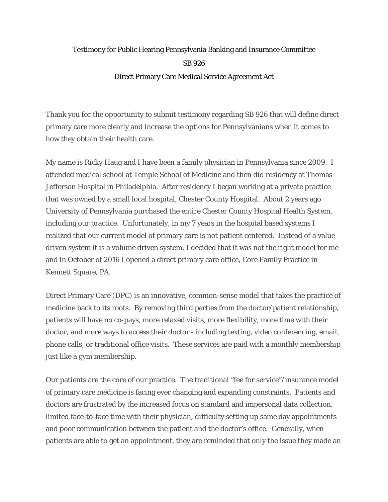## Testimony for Public Hearing Pennsylvania Banking and Insurance Committee SB 926 Direct Primary Care Medical Service Agreement Act

Thank you for the opportunity to submit testimony regarding SB 926 that will define direct primary care more clearly and increase the options for Pennsylvanians when it comes to how they obtain their health care.

My name is Ricky Haug and I have been a family physician in Pennsylvania since 2009. I attended medical school at Temple School of Medicine and then did residency at Thomas Jefferson Hospital in Philadelphia. After residency I began working at a private practice that was owned by a small local hospital, Chester County Hospital. About 2 years ago University of Pennsylvania purchased the entire Chester County Hospital Health System, including our practice. Unfortunately, in my 7 years in the hospital based systems I realized that our current model of primary care is not patient centered. Instead of a value driven system it is a volume driven system. I decided that it was not the right model for me and in October of 2016 I opened a direct primary care office, Core Family Practice in Kennett Square, PA.

Direct Primary Care (DPC) is an innovative, common-sense model that takes the practice of medicine back to its roots. By removing third parties from the doctor/patient relationship, patients will have no co-pays, more relaxed visits, more flexibility, more time with their doctor, and more ways to access their doctor - including texting, video conferencing, email, phone calls, or traditional office visits. These services are paid with a monthly membership just like a gym membership.

Our patients are the core of our practice. The traditional "fee for service"/insurance model of primary care medicine is facing ever changing and expanding constraints. Patients and doctors are frustrated by the increased focus on standard and impersonal data collection, limited face-to-face time with their physician, difficulty setting up same day appointments and poor communication between the patient and the doctor's office. Generally, when patients are able to get an appointment, they are reminded that only the issue they made an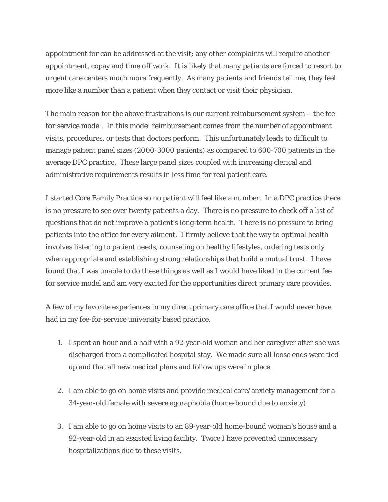appointment for can be addressed at the visit; any other complaints will require another appointment, copay and time off work. It is likely that many patients are forced to resort to urgent care centers much more frequently. As many patients and friends tell me, they feel more like a number than a patient when they contact or visit their physician.

The main reason for the above frustrations is our current reimbursement system – the fee for service model. In this model reimbursement comes from the number of appointment visits, procedures, or tests that doctors perform. This unfortunately leads to difficult to manage patient panel sizes (2000-3000 patients) as compared to 600-700 patients in the average DPC practice. These large panel sizes coupled with increasing clerical and administrative requirements results in less time for real patient care.

I started Core Family Practice so no patient will feel like a number. In a DPC practice there is no pressure to see over twenty patients a day. There is no pressure to check off a list of questions that do not improve a patient's long-term health. There is no pressure to bring patients into the office for every ailment. I firmly believe that the way to optimal health involves listening to patient needs, counseling on healthy lifestyles, ordering tests only when appropriate and establishing strong relationships that build a mutual trust. I have found that I was unable to do these things as well as I would have liked in the current fee for service model and am very excited for the opportunities direct primary care provides.

A few of my favorite experiences in my direct primary care office that I would never have had in my fee-for-service university based practice.

- 1. I spent an hour and a half with a 92-year-old woman and her caregiver after she was discharged from a complicated hospital stay. We made sure all loose ends were tied up and that all new medical plans and follow ups were in place.
- 2. I am able to go on home visits and provide medical care/anxiety management for a 34-year-old female with severe agoraphobia (home-bound due to anxiety).
- 3. I am able to go on home visits to an 89-year-old home-bound woman's house and a 92-year-old in an assisted living facility. Twice I have prevented unnecessary hospitalizations due to these visits.